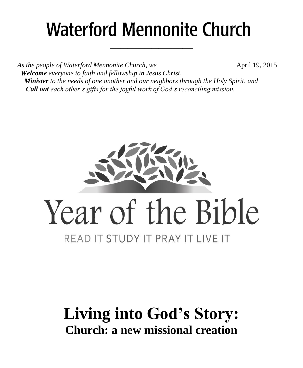# **Waterford Mennonite Church**

\_\_\_\_\_\_\_\_\_\_\_\_\_\_\_\_\_\_\_\_\_\_\_\_

As the people of Waterford Mennonite Church, we **April 19, 2015**  *Welcome everyone to faith and fellowship in Jesus Christ, Minister to the needs of one another and our neighbors through the Holy Spirit, and Call out each other's gifts for the joyful work of God's reconciling mission.*



# **Living into God's Story: Church: a new missional creation**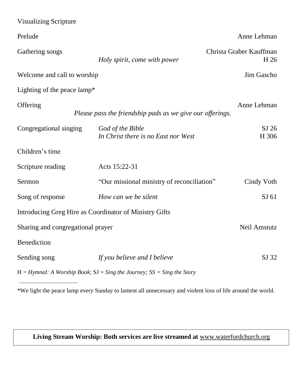| <b>Visualizing Scripture</b>                                                  |                                                           |                                 |  |  |
|-------------------------------------------------------------------------------|-----------------------------------------------------------|---------------------------------|--|--|
| Prelude                                                                       |                                                           | Anne Lehman                     |  |  |
| Gathering songs                                                               | Holy spirit, come with power                              | Christa Graber Kauffman<br>H 26 |  |  |
| Welcome and call to worship                                                   |                                                           | Jim Gascho                      |  |  |
| Lighting of the peace lamp*                                                   |                                                           |                                 |  |  |
| Offering                                                                      | Please pass the friendship pads as we give our offerings. | Anne Lehman                     |  |  |
| Congregational singing                                                        | God of the Bible<br>In Christ there is no East nor West   | $SI$ 26<br>H 306                |  |  |
| Children's time                                                               |                                                           |                                 |  |  |
| Scripture reading                                                             | Acts 15:22-31                                             |                                 |  |  |
| Sermon                                                                        | "Our missional ministry of reconciliation"                | Cindy Voth                      |  |  |
| Song of response                                                              | How can we be silent                                      | SI 61                           |  |  |
| Introducing Greg Hire as Coordinator of Ministry Gifts                        |                                                           |                                 |  |  |
| Neil Amstutz<br>Sharing and congregational prayer                             |                                                           |                                 |  |  |
| Benediction                                                                   |                                                           |                                 |  |  |
| Sending song                                                                  | If you believe and I believe                              | SJ 32                           |  |  |
| $H = Hymnal$ : A Worship Book; $SJ = Sing$ the Journey; $SS = Sing$ the Story |                                                           |                                 |  |  |

\*We light the peace lamp every Sunday to lament all unnecessary and violent loss of life around the world.

# **Living Stream Worship: Both services are live streamed at** [www.waterfordchurch.org](http://www.waterfordchurch.org/)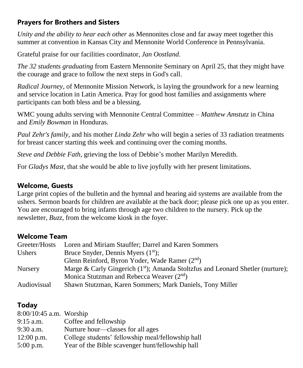# **Prayers for Brothers and Sisters**

*Unity and the ability to hear each other* as Mennonites close and far away meet together this summer at convention in Kansas City and Mennonite World Conference in Pennsylvania.

Grateful praise for our facilities coordinator*, Jan Oostland*.

*The 32 students graduating* from Eastern Mennonite Seminary on April 25, that they might have the courage and grace to follow the next steps in God's call.

*Radical Journey*, of Mennonite Mission Network, is laying the groundwork for a new learning and service location in Latin America. Pray for good host families and assignments where participants can both bless and be a blessing.

WMC young adults serving with Mennonite Central Committee – *Matthew Amstutz* in China and *Emily Bowman* in Honduras.

*Paul Zehr's family*, and his mother *Linda Zehr* who will begin a series of 33 radiation treatments for breast cancer starting this week and continuing over the coming months.

*Steve and Debbie Fath*, grieving the loss of Debbie's mother Marilyn Meredith.

For *Gladys Mast,* that she would be able to live joyfully with her present limitations.

#### **Welcome, Guests**

Large print copies of the bulletin and the hymnal and hearing aid systems are available from the ushers. Sermon boards for children are available at the back door; please pick one up as you enter. You are encouraged to bring infants through age two children to the nursery. Pick up the newsletter, *Buzz,* from the welcome kiosk in the foyer.

#### **Welcome Team**

| Greeter/Hosts  | Loren and Miriam Stauffer; Darrel and Karen Sommers                               |
|----------------|-----------------------------------------------------------------------------------|
| Ushers         | Bruce Snyder, Dennis Myers $(1st)$ ;                                              |
|                | Glenn Reinford, Byron Yoder, Wade Ramer (2nd)                                     |
| <b>Nursery</b> | Marge & Carly Gingerich $(1st)$ ; Amanda Stoltzfus and Leonard Shetler (nurture); |
|                | Monica Stutzman and Rebecca Weaver $(2nd)$                                        |
| Audiovisual    | Shawn Stutzman, Karen Sommers; Mark Daniels, Tony Miller                          |

# **Today**

| 8:00/10:45 a.m. Worship |                                                   |
|-------------------------|---------------------------------------------------|
| $9:15$ a.m.             | Coffee and fellowship                             |
| 9:30 a.m.               | Nurture hour—classes for all ages                 |
| $12:00$ p.m.            | College students' fellowship meal/fellowship hall |
| $5:00$ p.m.             | Year of the Bible scavenger hunt/fellowship hall  |